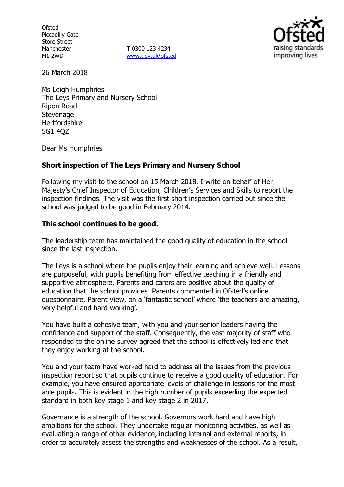**Ofsted** Piccadilly Gate Store Street Manchester M1 2WD

**T** 0300 123 4234 www.gov.uk/ofsted



26 March 2018

Ms Leigh Humphries The Leys Primary and Nursery School Ripon Road **Stevenage** Hertfordshire SG1 4QZ

Dear Ms Humphries

### **Short inspection of The Leys Primary and Nursery School**

Following my visit to the school on 15 March 2018, I write on behalf of Her Majesty's Chief Inspector of Education, Children's Services and Skills to report the inspection findings. The visit was the first short inspection carried out since the school was judged to be good in February 2014.

### **This school continues to be good.**

The leadership team has maintained the good quality of education in the school since the last inspection.

The Leys is a school where the pupils enjoy their learning and achieve well. Lessons are purposeful, with pupils benefiting from effective teaching in a friendly and supportive atmosphere. Parents and carers are positive about the quality of education that the school provides. Parents commented in Ofsted's online questionnaire, Parent View, on a 'fantastic school' where 'the teachers are amazing, very helpful and hard-working'.

You have built a cohesive team, with you and your senior leaders having the confidence and support of the staff. Consequently, the vast majority of staff who responded to the online survey agreed that the school is effectively led and that they enjoy working at the school.

You and your team have worked hard to address all the issues from the previous inspection report so that pupils continue to receive a good quality of education. For example, you have ensured appropriate levels of challenge in lessons for the most able pupils. This is evident in the high number of pupils exceeding the expected standard in both key stage 1 and key stage 2 in 2017.

Governance is a strength of the school. Governors work hard and have high ambitions for the school. They undertake regular monitoring activities, as well as evaluating a range of other evidence, including internal and external reports, in order to accurately assess the strengths and weaknesses of the school. As a result,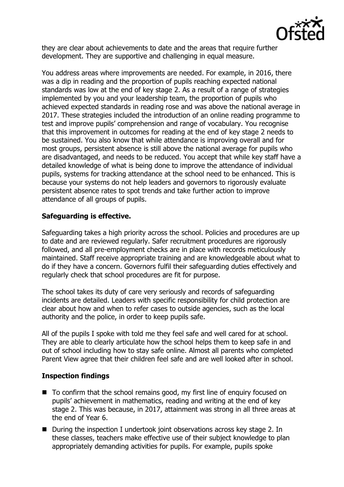

they are clear about achievements to date and the areas that require further development. They are supportive and challenging in equal measure.

You address areas where improvements are needed. For example, in 2016, there was a dip in reading and the proportion of pupils reaching expected national standards was low at the end of key stage 2. As a result of a range of strategies implemented by you and your leadership team, the proportion of pupils who achieved expected standards in reading rose and was above the national average in 2017. These strategies included the introduction of an online reading programme to test and improve pupils' comprehension and range of vocabulary. You recognise that this improvement in outcomes for reading at the end of key stage 2 needs to be sustained. You also know that while attendance is improving overall and for most groups, persistent absence is still above the national average for pupils who are disadvantaged, and needs to be reduced. You accept that while key staff have a detailed knowledge of what is being done to improve the attendance of individual pupils, systems for tracking attendance at the school need to be enhanced. This is because your systems do not help leaders and governors to rigorously evaluate persistent absence rates to spot trends and take further action to improve attendance of all groups of pupils.

## **Safeguarding is effective.**

Safeguarding takes a high priority across the school. Policies and procedures are up to date and are reviewed regularly. Safer recruitment procedures are rigorously followed, and all pre-employment checks are in place with records meticulously maintained. Staff receive appropriate training and are knowledgeable about what to do if they have a concern. Governors fulfil their safeguarding duties effectively and regularly check that school procedures are fit for purpose.

The school takes its duty of care very seriously and records of safeguarding incidents are detailed. Leaders with specific responsibility for child protection are clear about how and when to refer cases to outside agencies, such as the local authority and the police, in order to keep pupils safe.

All of the pupils I spoke with told me they feel safe and well cared for at school. They are able to clearly articulate how the school helps them to keep safe in and out of school including how to stay safe online. Almost all parents who completed Parent View agree that their children feel safe and are well looked after in school.

### **Inspection findings**

- To confirm that the school remains good, my first line of enquiry focused on pupils' achievement in mathematics, reading and writing at the end of key stage 2. This was because, in 2017, attainment was strong in all three areas at the end of Year 6.
- During the inspection I undertook joint observations across key stage 2. In these classes, teachers make effective use of their subject knowledge to plan appropriately demanding activities for pupils. For example, pupils spoke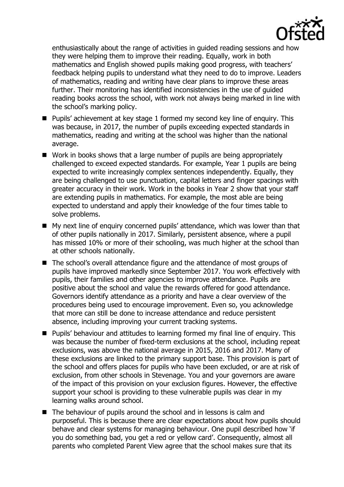

enthusiastically about the range of activities in guided reading sessions and how they were helping them to improve their reading. Equally, work in both mathematics and English showed pupils making good progress, with teachers' feedback helping pupils to understand what they need to do to improve. Leaders of mathematics, reading and writing have clear plans to improve these areas further. Their monitoring has identified inconsistencies in the use of guided reading books across the school, with work not always being marked in line with the school's marking policy.

- Pupils' achievement at key stage 1 formed my second key line of enquiry. This was because, in 2017, the number of pupils exceeding expected standards in mathematics, reading and writing at the school was higher than the national average.
- Work in books shows that a large number of pupils are being appropriately challenged to exceed expected standards. For example, Year 1 pupils are being expected to write increasingly complex sentences independently. Equally, they are being challenged to use punctuation, capital letters and finger spacings with greater accuracy in their work. Work in the books in Year 2 show that your staff are extending pupils in mathematics. For example, the most able are being expected to understand and apply their knowledge of the four times table to solve problems.
- My next line of enquiry concerned pupils' attendance, which was lower than that of other pupils nationally in 2017. Similarly, persistent absence, where a pupil has missed 10% or more of their schooling, was much higher at the school than at other schools nationally.
- The school's overall attendance figure and the attendance of most groups of pupils have improved markedly since September 2017. You work effectively with pupils, their families and other agencies to improve attendance. Pupils are positive about the school and value the rewards offered for good attendance. Governors identify attendance as a priority and have a clear overview of the procedures being used to encourage improvement. Even so, you acknowledge that more can still be done to increase attendance and reduce persistent absence, including improving your current tracking systems.
- Pupils' behaviour and attitudes to learning formed my final line of enquiry. This was because the number of fixed-term exclusions at the school, including repeat exclusions, was above the national average in 2015, 2016 and 2017. Many of these exclusions are linked to the primary support base. This provision is part of the school and offers places for pupils who have been excluded, or are at risk of exclusion, from other schools in Stevenage. You and your governors are aware of the impact of this provision on your exclusion figures. However, the effective support your school is providing to these vulnerable pupils was clear in my learning walks around school.
- The behaviour of pupils around the school and in lessons is calm and purposeful. This is because there are clear expectations about how pupils should behave and clear systems for managing behaviour. One pupil described how 'if you do something bad, you get a red or yellow card'. Consequently, almost all parents who completed Parent View agree that the school makes sure that its